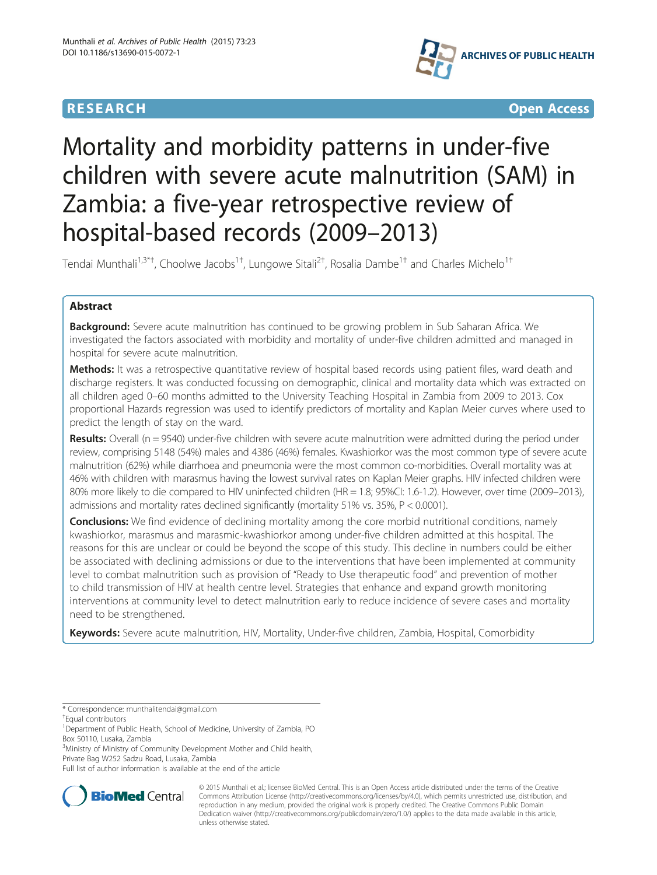## **RESEARCH CHINESE ARCHITECT IN THE SECOND CONTRACT CONTRACT OF CHINESE ARCHITECT CONTRACT CONTRACT CONTRACT CONTRACT CONTRACT CONTRACT CONTRACT CONTRACT CONTRACT CONTRACT CONTRACT CONTRACT CONTRACT CONTRACT CONTRACT CONT**



# Mortality and morbidity patterns in under-five children with severe acute malnutrition (SAM) in Zambia: a five-year retrospective review of hospital-based records (2009–2013)

Tendai Munthali<sup>1,3\*†</sup>, Choolwe Jacobs<sup>1†</sup>, Lungowe Sitali<sup>2†</sup>, Rosalia Dambe<sup>1†</sup> and Charles Michelo<sup>1†</sup>

## Abstract

Background: Severe acute malnutrition has continued to be growing problem in Sub Saharan Africa. We investigated the factors associated with morbidity and mortality of under-five children admitted and managed in hospital for severe acute malnutrition.

Methods: It was a retrospective quantitative review of hospital based records using patient files, ward death and discharge registers. It was conducted focussing on demographic, clinical and mortality data which was extracted on all children aged 0–60 months admitted to the University Teaching Hospital in Zambia from 2009 to 2013. Cox proportional Hazards regression was used to identify predictors of mortality and Kaplan Meier curves where used to predict the length of stay on the ward.

Results: Overall (n = 9540) under-five children with severe acute malnutrition were admitted during the period under review, comprising 5148 (54%) males and 4386 (46%) females. Kwashiorkor was the most common type of severe acute malnutrition (62%) while diarrhoea and pneumonia were the most common co-morbidities. Overall mortality was at 46% with children with marasmus having the lowest survival rates on Kaplan Meier graphs. HIV infected children were 80% more likely to die compared to HIV uninfected children (HR = 1.8; 95%CI: 1.6-1.2). However, over time (2009–2013), admissions and mortality rates declined significantly (mortality 51% vs. 35%, P < 0.0001).

**Conclusions:** We find evidence of declining mortality among the core morbid nutritional conditions, namely kwashiorkor, marasmus and marasmic-kwashiorkor among under-five children admitted at this hospital. The reasons for this are unclear or could be beyond the scope of this study. This decline in numbers could be either be associated with declining admissions or due to the interventions that have been implemented at community level to combat malnutrition such as provision of "Ready to Use therapeutic food" and prevention of mother to child transmission of HIV at health centre level. Strategies that enhance and expand growth monitoring interventions at community level to detect malnutrition early to reduce incidence of severe cases and mortality need to be strengthened.

Keywords: Severe acute malnutrition, HIV, Mortality, Under-five children, Zambia, Hospital, Comorbidity

\* Correspondence: [munthalitendai@gmail.com](mailto:munthalitendai@gmail.com) †

Equal contributors

<sup>1</sup>Department of Public Health, School of Medicine, University of Zambia, PO Box 50110, Lusaka, Zambia

<sup>3</sup>Ministry of Ministry of Community Development Mother and Child health, Private Bag W252 Sadzu Road, Lusaka, Zambia

Full list of author information is available at the end of the article



© 2015 Munthali et al.; licensee BioMed Central. This is an Open Access article distributed under the terms of the Creative Commons Attribution License [\(http://creativecommons.org/licenses/by/4.0\)](http://creativecommons.org/licenses/by/4.0), which permits unrestricted use, distribution, and reproduction in any medium, provided the original work is properly credited. The Creative Commons Public Domain Dedication waiver [\(http://creativecommons.org/publicdomain/zero/1.0/](http://creativecommons.org/publicdomain/zero/1.0/)) applies to the data made available in this article, unless otherwise stated.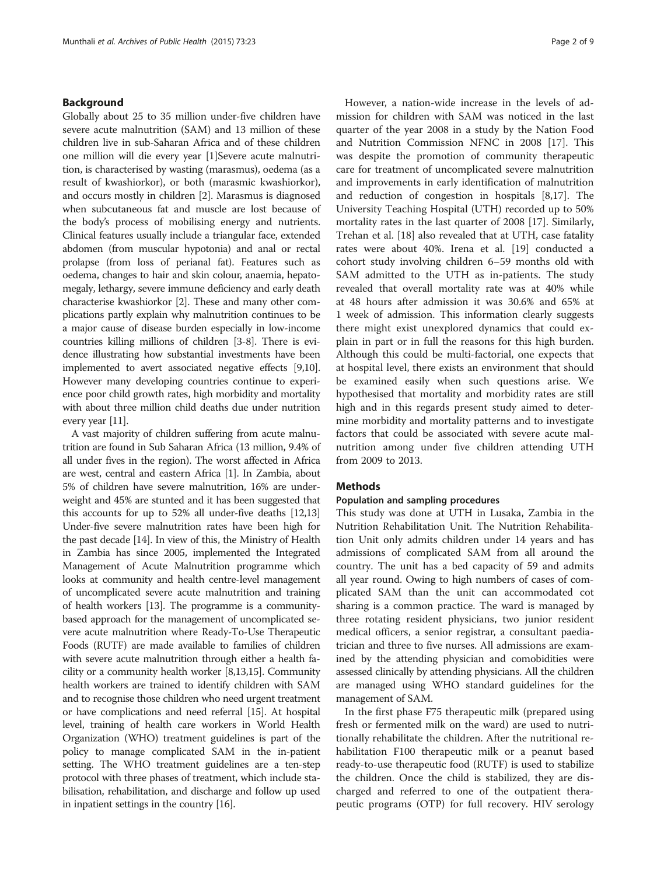## Background

Globally about 25 to 35 million under-five children have severe acute malnutrition (SAM) and 13 million of these children live in sub-Saharan Africa and of these children one million will die every year [[1](#page-8-0)]Severe acute malnutrition, is characterised by wasting (marasmus), oedema (as a result of kwashiorkor), or both (marasmic kwashiorkor), and occurs mostly in children [\[2](#page-8-0)]. Marasmus is diagnosed when subcutaneous fat and muscle are lost because of the body's process of mobilising energy and nutrients. Clinical features usually include a triangular face, extended abdomen (from muscular hypotonia) and anal or rectal prolapse (from loss of perianal fat). Features such as oedema, changes to hair and skin colour, anaemia, hepatomegaly, lethargy, severe immune deficiency and early death characterise kwashiorkor [\[2\]](#page-8-0). These and many other complications partly explain why malnutrition continues to be a major cause of disease burden especially in low-income countries killing millions of children [[3-8\]](#page-8-0). There is evidence illustrating how substantial investments have been implemented to avert associated negative effects [\[9,10](#page-8-0)]. However many developing countries continue to experience poor child growth rates, high morbidity and mortality with about three million child deaths due under nutrition every year [\[11\]](#page-8-0).

A vast majority of children suffering from acute malnutrition are found in Sub Saharan Africa (13 million, 9.4% of all under fives in the region). The worst affected in Africa are west, central and eastern Africa [[1\]](#page-8-0). In Zambia, about 5% of children have severe malnutrition, 16% are underweight and 45% are stunted and it has been suggested that this accounts for up to 52% all under-five deaths [\[12,13](#page-8-0)] Under-five severe malnutrition rates have been high for the past decade [[14](#page-8-0)]. In view of this, the Ministry of Health in Zambia has since 2005, implemented the Integrated Management of Acute Malnutrition programme which looks at community and health centre-level management of uncomplicated severe acute malnutrition and training of health workers [\[13\]](#page-8-0). The programme is a communitybased approach for the management of uncomplicated severe acute malnutrition where Ready-To-Use Therapeutic Foods (RUTF) are made available to families of children with severe acute malnutrition through either a health facility or a community health worker [[8,13,15\]](#page-8-0). Community health workers are trained to identify children with SAM and to recognise those children who need urgent treatment or have complications and need referral [\[15\]](#page-8-0). At hospital level, training of health care workers in World Health Organization (WHO) treatment guidelines is part of the policy to manage complicated SAM in the in-patient setting. The WHO treatment guidelines are a ten-step protocol with three phases of treatment, which include stabilisation, rehabilitation, and discharge and follow up used in inpatient settings in the country [[16](#page-8-0)].

However, a nation-wide increase in the levels of admission for children with SAM was noticed in the last quarter of the year 2008 in a study by the Nation Food and Nutrition Commission NFNC in 2008 [[17\]](#page-8-0). This was despite the promotion of community therapeutic care for treatment of uncomplicated severe malnutrition and improvements in early identification of malnutrition and reduction of congestion in hospitals [\[8,17](#page-8-0)]. The University Teaching Hospital (UTH) recorded up to 50% mortality rates in the last quarter of 2008 [\[17](#page-8-0)]. Similarly, Trehan et al. [\[18](#page-8-0)] also revealed that at UTH, case fatality rates were about 40%. Irena et al. [[19\]](#page-8-0) conducted a cohort study involving children 6–59 months old with SAM admitted to the UTH as in-patients. The study revealed that overall mortality rate was at 40% while at 48 hours after admission it was 30.6% and 65% at 1 week of admission. This information clearly suggests there might exist unexplored dynamics that could explain in part or in full the reasons for this high burden. Although this could be multi-factorial, one expects that at hospital level, there exists an environment that should be examined easily when such questions arise. We hypothesised that mortality and morbidity rates are still high and in this regards present study aimed to determine morbidity and mortality patterns and to investigate factors that could be associated with severe acute malnutrition among under five children attending UTH from 2009 to 2013.

## Methods

## Population and sampling procedures

This study was done at UTH in Lusaka, Zambia in the Nutrition Rehabilitation Unit. The Nutrition Rehabilitation Unit only admits children under 14 years and has admissions of complicated SAM from all around the country. The unit has a bed capacity of 59 and admits all year round. Owing to high numbers of cases of complicated SAM than the unit can accommodated cot sharing is a common practice. The ward is managed by three rotating resident physicians, two junior resident medical officers, a senior registrar, a consultant paediatrician and three to five nurses. All admissions are examined by the attending physician and comobidities were assessed clinically by attending physicians. All the children are managed using WHO standard guidelines for the management of SAM.

In the first phase F75 therapeutic milk (prepared using fresh or fermented milk on the ward) are used to nutritionally rehabilitate the children. After the nutritional rehabilitation F100 therapeutic milk or a peanut based ready-to-use therapeutic food (RUTF) is used to stabilize the children. Once the child is stabilized, they are discharged and referred to one of the outpatient therapeutic programs (OTP) for full recovery. HIV serology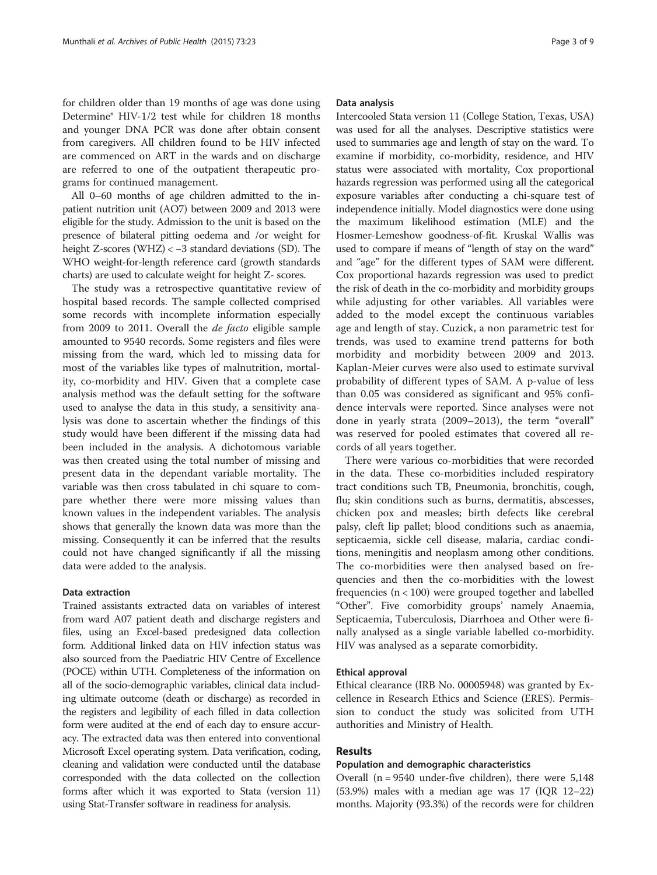for children older than 19 months of age was done using Determine® HIV-1/2 test while for children 18 months and younger DNA PCR was done after obtain consent from caregivers. All children found to be HIV infected are commenced on ART in the wards and on discharge are referred to one of the outpatient therapeutic programs for continued management.

All 0–60 months of age children admitted to the inpatient nutrition unit (AO7) between 2009 and 2013 were eligible for the study. Admission to the unit is based on the presence of bilateral pitting oedema and /or weight for height Z-scores (WHZ) < −3 standard deviations (SD). The WHO weight-for-length reference card (growth standards charts) are used to calculate weight for height Z- scores.

The study was a retrospective quantitative review of hospital based records. The sample collected comprised some records with incomplete information especially from 2009 to 2011. Overall the de facto eligible sample amounted to 9540 records. Some registers and files were missing from the ward, which led to missing data for most of the variables like types of malnutrition, mortality, co-morbidity and HIV. Given that a complete case analysis method was the default setting for the software used to analyse the data in this study, a sensitivity analysis was done to ascertain whether the findings of this study would have been different if the missing data had been included in the analysis. A dichotomous variable was then created using the total number of missing and present data in the dependant variable mortality. The variable was then cross tabulated in chi square to compare whether there were more missing values than known values in the independent variables. The analysis shows that generally the known data was more than the missing. Consequently it can be inferred that the results could not have changed significantly if all the missing data were added to the analysis.

## Data extraction

Trained assistants extracted data on variables of interest from ward A07 patient death and discharge registers and files, using an Excel-based predesigned data collection form. Additional linked data on HIV infection status was also sourced from the Paediatric HIV Centre of Excellence (POCE) within UTH. Completeness of the information on all of the socio-demographic variables, clinical data including ultimate outcome (death or discharge) as recorded in the registers and legibility of each filled in data collection form were audited at the end of each day to ensure accuracy. The extracted data was then entered into conventional Microsoft Excel operating system. Data verification, coding, cleaning and validation were conducted until the database corresponded with the data collected on the collection forms after which it was exported to Stata (version 11) using Stat-Transfer software in readiness for analysis.

## Data analysis

Intercooled Stata version 11 (College Station, Texas, USA) was used for all the analyses. Descriptive statistics were used to summaries age and length of stay on the ward. To examine if morbidity, co-morbidity, residence, and HIV status were associated with mortality, Cox proportional hazards regression was performed using all the categorical exposure variables after conducting a chi-square test of independence initially. Model diagnostics were done using the maximum likelihood estimation (MLE) and the Hosmer-Lemeshow goodness-of-fit. Kruskal Wallis was used to compare if means of "length of stay on the ward" and "age" for the different types of SAM were different. Cox proportional hazards regression was used to predict the risk of death in the co-morbidity and morbidity groups while adjusting for other variables. All variables were added to the model except the continuous variables age and length of stay. Cuzick, a non parametric test for trends, was used to examine trend patterns for both morbidity and morbidity between 2009 and 2013. Kaplan-Meier curves were also used to estimate survival probability of different types of SAM. A p-value of less than 0.05 was considered as significant and 95% confidence intervals were reported. Since analyses were not done in yearly strata (2009–2013), the term "overall" was reserved for pooled estimates that covered all records of all years together.

There were various co-morbidities that were recorded in the data. These co-morbidities included respiratory tract conditions such TB, Pneumonia, bronchitis, cough, flu; skin conditions such as burns, dermatitis, abscesses, chicken pox and measles; birth defects like cerebral palsy, cleft lip pallet; blood conditions such as anaemia, septicaemia, sickle cell disease, malaria, cardiac conditions, meningitis and neoplasm among other conditions. The co-morbidities were then analysed based on frequencies and then the co-morbidities with the lowest frequencies (n < 100) were grouped together and labelled "Other". Five comorbidity groups' namely Anaemia, Septicaemia, Tuberculosis, Diarrhoea and Other were finally analysed as a single variable labelled co-morbidity. HIV was analysed as a separate comorbidity.

## Ethical approval

Ethical clearance (IRB No. 00005948) was granted by Excellence in Research Ethics and Science (ERES). Permission to conduct the study was solicited from UTH authorities and Ministry of Health.

## Results

### Population and demographic characteristics

Overall ( $n = 9540$  under-five children), there were  $5,148$ (53.9%) males with a median age was 17 (IQR 12–22) months. Majority (93.3%) of the records were for children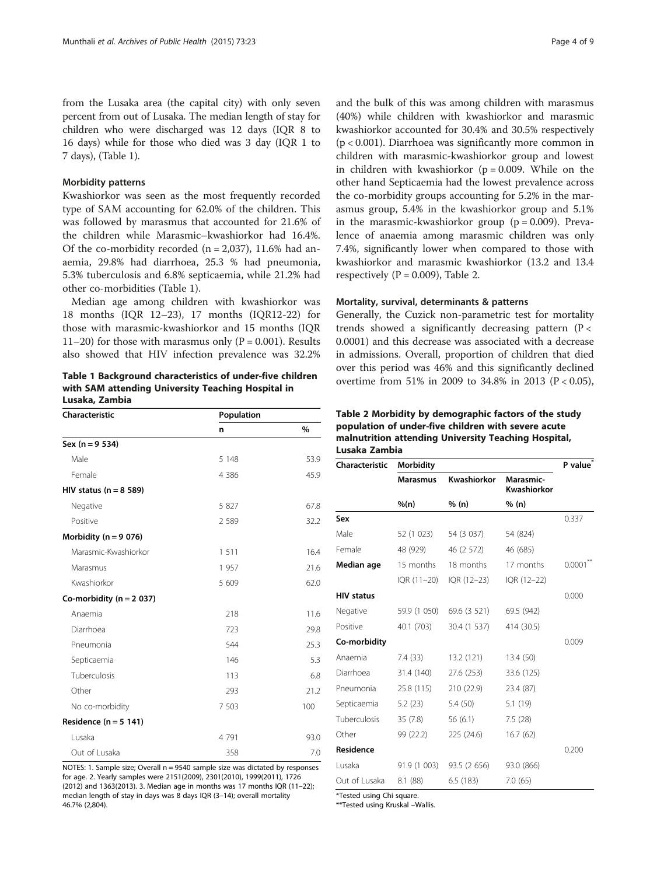## Morbidity patterns

Kwashiorkor was seen as the most frequently recorded type of SAM accounting for 62.0% of the children. This was followed by marasmus that accounted for 21.6% of the children while Marasmic–kwashiorkor had 16.4%. Of the co-morbidity recorded  $(n = 2,037)$ , 11.6% had anaemia, 29.8% had diarrhoea, 25.3 % had pneumonia, 5.3% tuberculosis and 6.8% septicaemia, while 21.2% had other co-morbidities (Table 1).

Median age among children with kwashiorkor was 18 months (IQR 12–23), 17 months (IQR12-22) for those with marasmic-kwashiorkor and 15 months (IQR 11–20) for those with marasmus only ( $P = 0.001$ ). Results also showed that HIV infection prevalence was 32.2%

with SAM attending University Teaching Hospital in Lusaka, Zambia

| Characteristic              | Population |      |  |
|-----------------------------|------------|------|--|
|                             | n          | $\%$ |  |
| Sex $(n = 9 534)$           |            |      |  |
| Male                        | 5 1 4 8    | 53.9 |  |
| Female                      | 4 3 8 6    | 45.9 |  |
| HIV status ( $n = 8$ 589)   |            |      |  |
| Negative                    | 5 8 2 7    | 67.8 |  |
| Positive                    | 2 5 8 9    | 32.2 |  |
| Morbidity ( $n = 9$ 076)    |            |      |  |
| Marasmic-Kwashiorkor        | 1 5 1 1    | 16.4 |  |
| Marasmus                    | 1957       | 21.6 |  |
| Kwashiorkor                 | 5 609      | 62.0 |  |
| Co-morbidity ( $n = 2037$ ) |            |      |  |
| Anaemia                     | 218        | 11.6 |  |
| Diarrhoea                   | 723        | 29.8 |  |
| Pneumonia                   | 544        | 25.3 |  |
| Septicaemia                 | 146        | 5.3  |  |
| Tuberculosis                | 113        | 6.8  |  |
| Other                       | 293        | 21.2 |  |
| No co-morbidity             | 7 5 0 3    | 100  |  |
| Residence ( $n = 5$ 141)    |            |      |  |
| Lusaka                      | 4 7 9 1    | 93.0 |  |
| Out of Lusaka               | 358        | 7.0  |  |

NOTES: 1. Sample size; Overall n = 9540 sample size was dictated by responses for age. 2. Yearly samples were 2151(2009), 2301(2010), 1999(2011), 1726 (2012) and 1363(2013). 3. Median age in months was 17 months IQR (11–22); median length of stay in days was 8 days IQR (3–14); overall mortality 46.7% (2,804).

and the bulk of this was among children with marasmus (40%) while children with kwashiorkor and marasmic kwashiorkor accounted for 30.4% and 30.5% respectively (p < 0.001). Diarrhoea was significantly more common in children with marasmic-kwashiorkor group and lowest in children with kwashiorkor  $(p = 0.009$ . While on the other hand Septicaemia had the lowest prevalence across the co-morbidity groups accounting for 5.2% in the marasmus group, 5.4% in the kwashiorkor group and 5.1% in the marasmic-kwashiorkor group  $(p = 0.009)$ . Prevalence of anaemia among marasmic children was only 7.4%, significantly lower when compared to those with kwashiorkor and marasmic kwashiorkor (13.2 and 13.4 respectively ( $P = 0.009$ ), Table 2.

## Mortality, survival, determinants & patterns

Generally, the Cuzick non-parametric test for mortality trends showed a significantly decreasing pattern  $(P <$ 0.0001) and this decrease was associated with a decrease in admissions. Overall, proportion of children that died over this period was 46% and this significantly declined Table 1 Background characteristics of under-five children  $\frac{1}{2}$  overtime from 51% in 2009 to 34.8% in 2013 (P < 0.05),

## Table 2 Morbidity by demographic factors of the study population of under-five children with severe acute malnutrition attending University Teaching Hospital, Lusaka Zambia

| Characteristic    | <b>Morbidity</b> | P value              |                                   |        |
|-------------------|------------------|----------------------|-----------------------------------|--------|
|                   | <b>Marasmus</b>  | Kwashiorkor<br>% (n) | Marasmic-<br>Kwashiorkor<br>% (n) |        |
|                   | $%$ (n)          |                      |                                   |        |
| Sex               |                  |                      |                                   | 0.337  |
| Male              | 52 (1 023)       | 54 (3 037)           | 54 (824)                          |        |
| Female            | 48 (929)         | 46 (2 572)           | 46 (685)                          |        |
| Median age        | 15 months        | 18 months            | 17 months                         | 0.0001 |
|                   | IQR (11-20)      | IQR (12-23)          | IQR (12-22)                       |        |
| <b>HIV status</b> |                  |                      |                                   | 0.000  |
| Negative          | 59.9 (1 050)     | 69.6 (3 521)         | 69.5 (942)                        |        |
| Positive          | 40.1 (703)       | 30.4 (1 537)         | 414 (30.5)                        |        |
| Co-morbidity      |                  |                      |                                   | 0.009  |
| Anaemia           | 7.4(33)          | 13.2 (121)           | 13.4 (50)                         |        |
| Diarrhoea         | 31.4 (140)       | 27.6 (253)           | 33.6 (125)                        |        |
| Pneumonia         | 25.8 (115)       | 210 (22.9)           | 23.4 (87)                         |        |
| Septicaemia       | 5.2(23)          | 5.4 (50)             | 5.1(19)                           |        |
| Tuberculosis      | 35(7.8)          | 56(6.1)              | 7.5(28)                           |        |
| Other             | 99 (22.2)        | 225 (24.6)           | 16.7(62)                          |        |
| Residence         |                  |                      |                                   | 0.200  |
| Lusaka            | 91.9 (1 003)     | 93.5 (2 656)         | 93.0 (866)                        |        |
| Out of Lusaka     | 8.1(88)          | 6.5(183)             | 7.0(65)                           |        |

\*Tested using Chi square.

\*\*Tested using Kruskal –Wallis.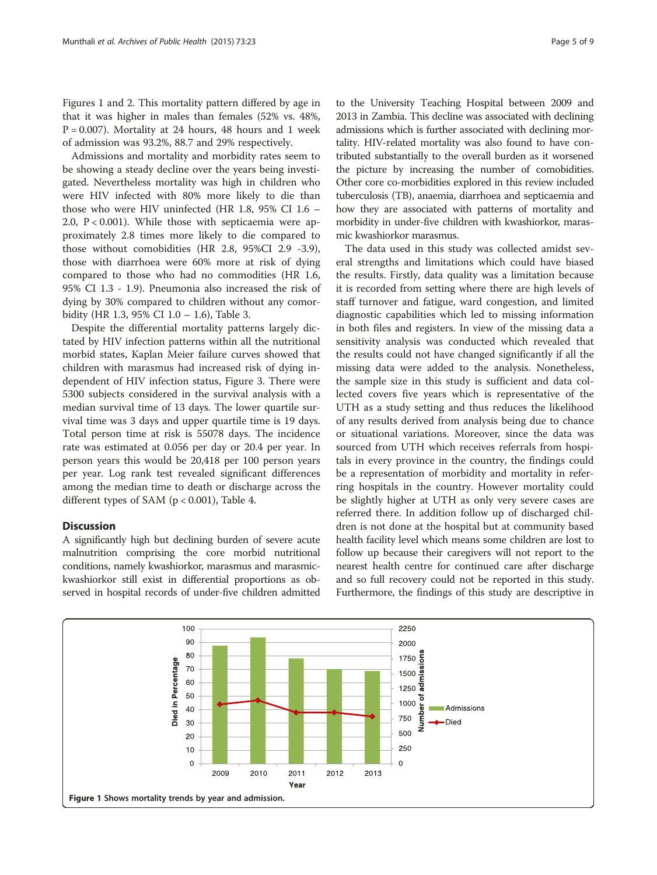Figures 1 and [2](#page-5-0). This mortality pattern differed by age in that it was higher in males than females (52% vs. 48%,  $P = 0.007$ ). Mortality at 24 hours, 48 hours and 1 week of admission was 93.2%, 88.7 and 29% respectively.

Admissions and mortality and morbidity rates seem to be showing a steady decline over the years being investigated. Nevertheless mortality was high in children who were HIV infected with 80% more likely to die than those who were HIV uninfected (HR 1.8, 95% CI 1.6 – 2.0, P < 0.001). While those with septicaemia were approximately 2.8 times more likely to die compared to those without comobidities (HR 2.8, 95%CI 2.9 -3.9), those with diarrhoea were 60% more at risk of dying compared to those who had no commodities (HR 1.6, 95% CI 1.3 - 1.9). Pneumonia also increased the risk of dying by 30% compared to children without any comorbidity (HR 1.3, 95% CI 1.0 – 1.6), Table [3](#page-5-0).

Despite the differential mortality patterns largely dictated by HIV infection patterns within all the nutritional morbid states, Kaplan Meier failure curves showed that children with marasmus had increased risk of dying independent of HIV infection status, Figure [3](#page-6-0). There were 5300 subjects considered in the survival analysis with a median survival time of 13 days. The lower quartile survival time was 3 days and upper quartile time is 19 days. Total person time at risk is 55078 days. The incidence rate was estimated at 0.056 per day or 20.4 per year. In person years this would be 20,418 per 100 person years per year. Log rank test revealed significant differences among the median time to death or discharge across the different types of SAM ( $p < 0.001$ ), Table [4](#page-6-0).

## **Discussion**

A significantly high but declining burden of severe acute malnutrition comprising the core morbid nutritional conditions, namely kwashiorkor, marasmus and marasmickwashiorkor still exist in differential proportions as observed in hospital records of under-five children admitted to the University Teaching Hospital between 2009 and 2013 in Zambia. This decline was associated with declining admissions which is further associated with declining mortality. HIV-related mortality was also found to have contributed substantially to the overall burden as it worsened the picture by increasing the number of comobidities. Other core co-morbidities explored in this review included tuberculosis (TB), anaemia, diarrhoea and septicaemia and how they are associated with patterns of mortality and morbidity in under-five children with kwashiorkor, marasmic kwashiorkor marasmus.

The data used in this study was collected amidst several strengths and limitations which could have biased the results. Firstly, data quality was a limitation because it is recorded from setting where there are high levels of staff turnover and fatigue, ward congestion, and limited diagnostic capabilities which led to missing information in both files and registers. In view of the missing data a sensitivity analysis was conducted which revealed that the results could not have changed significantly if all the missing data were added to the analysis. Nonetheless, the sample size in this study is sufficient and data collected covers five years which is representative of the UTH as a study setting and thus reduces the likelihood of any results derived from analysis being due to chance or situational variations. Moreover, since the data was sourced from UTH which receives referrals from hospitals in every province in the country, the findings could be a representation of morbidity and mortality in referring hospitals in the country. However mortality could be slightly higher at UTH as only very severe cases are referred there. In addition follow up of discharged children is not done at the hospital but at community based health facility level which means some children are lost to follow up because their caregivers will not report to the nearest health centre for continued care after discharge and so full recovery could not be reported in this study. Furthermore, the findings of this study are descriptive in

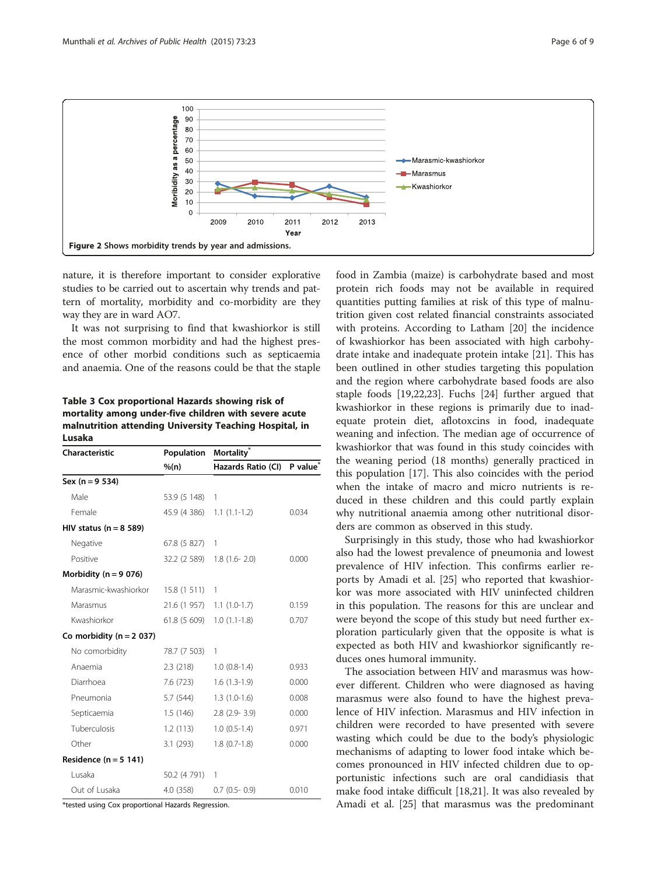<span id="page-5-0"></span>

nature, it is therefore important to consider explorative studies to be carried out to ascertain why trends and pattern of mortality, morbidity and co-morbidity are they way they are in ward AO7.

It was not surprising to find that kwashiorkor is still the most common morbidity and had the highest presence of other morbid conditions such as septicaemia and anaemia. One of the reasons could be that the staple

Table 3 Cox proportional Hazards showing risk of mortality among under-five children with severe acute malnutrition attending University Teaching Hospital, in Lusaka

| Characteristic              | Population   | <b>Mortality</b>           |                      |
|-----------------------------|--------------|----------------------------|----------------------|
|                             | % (n)        | Hazards Ratio (CI)         | P value <sup>®</sup> |
| Sex $(n = 9 534)$           |              |                            |                      |
| Male                        | 53.9 (5 148) | 1                          |                      |
| Female                      |              | 45.9 (4 386) 1.1 (1.1-1.2) | 0.034                |
| HIV status ( $n = 8$ 589)   |              |                            |                      |
| Negative                    | 67.8 (5 827) | 1                          |                      |
| Positive                    | 32.2 (2 589) | $1.8$ (1.6 - 2.0)          | 0.000                |
| Morbidity ( $n = 9$ 076)    |              |                            |                      |
| Marasmic-kwashiorkor        | 15.8 (1 511) | 1                          |                      |
| Marasmus                    | 21.6 (1 957) | $1.1(1.0-1.7)$             | 0.159                |
| Kwashiorkor                 | 61.8 (5 609) | $1.0(1.1-1.8)$             | 0.707                |
| Co morbidity ( $n = 2$ 037) |              |                            |                      |
| No comorbidity              | 78.7 (7 503) | 1                          |                      |
| Anaemia                     | 2.3(218)     | $1.0(0.8-1.4)$             | 0.933                |
| Diarrhoea                   | 7.6 (723)    | $1.6(1.3-1.9)$             | 0.000                |
| Pneumonia                   | 5.7 (544)    | $1.3(1.0-1.6)$             | 0.008                |
| Septicaemia                 | 1.5(146)     | $2.8$ ( $2.9 - 3.9$ )      | 0.000                |
| Tuberculosis                | 1.2(113)     | $1.0(0.5-1.4)$             | 0.971                |
| Other                       | 3.1(293)     | $1.8(0.7-1.8)$             | 0.000                |
| Residence ( $n = 5$ 141)    |              |                            |                      |
| Lusaka                      | 50.2 (4 791) | 1                          |                      |
| Out of Lusaka               | 4.0 (358)    | $0.7$ (0.5- 0.9)           | 0.010                |

\*tested using Cox proportional Hazards Regression.

food in Zambia (maize) is carbohydrate based and most protein rich foods may not be available in required quantities putting families at risk of this type of malnutrition given cost related financial constraints associated with proteins. According to Latham [\[20\]](#page-8-0) the incidence of kwashiorkor has been associated with high carbohydrate intake and inadequate protein intake [[21](#page-8-0)]. This has been outlined in other studies targeting this population and the region where carbohydrate based foods are also staple foods [\[19,22,23\]](#page-8-0). Fuchs [[24\]](#page-8-0) further argued that kwashiorkor in these regions is primarily due to inadequate protein diet, aflotoxcins in food, inadequate weaning and infection. The median age of occurrence of kwashiorkor that was found in this study coincides with the weaning period (18 months) generally practiced in this population [[17\]](#page-8-0). This also coincides with the period when the intake of macro and micro nutrients is reduced in these children and this could partly explain why nutritional anaemia among other nutritional disorders are common as observed in this study.

Surprisingly in this study, those who had kwashiorkor also had the lowest prevalence of pneumonia and lowest prevalence of HIV infection. This confirms earlier reports by Amadi et al. [[25\]](#page-8-0) who reported that kwashiorkor was more associated with HIV uninfected children in this population. The reasons for this are unclear and were beyond the scope of this study but need further exploration particularly given that the opposite is what is expected as both HIV and kwashiorkor significantly reduces ones humoral immunity.

The association between HIV and marasmus was however different. Children who were diagnosed as having marasmus were also found to have the highest prevalence of HIV infection. Marasmus and HIV infection in children were recorded to have presented with severe wasting which could be due to the body's physiologic mechanisms of adapting to lower food intake which becomes pronounced in HIV infected children due to opportunistic infections such are oral candidiasis that make food intake difficult [\[18,21\]](#page-8-0). It was also revealed by Amadi et al. [[25\]](#page-8-0) that marasmus was the predominant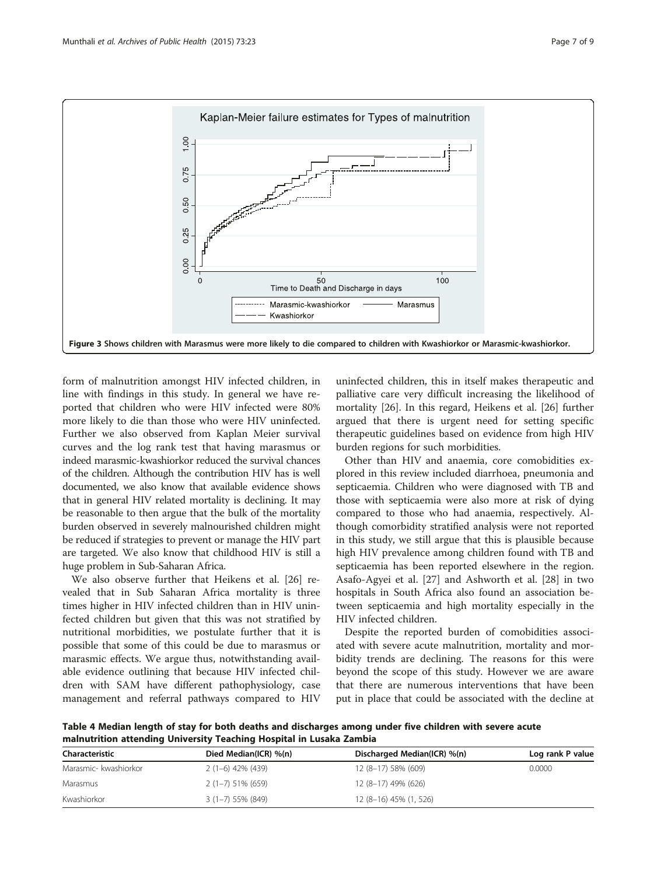<span id="page-6-0"></span>

form of malnutrition amongst HIV infected children, in line with findings in this study. In general we have reported that children who were HIV infected were 80% more likely to die than those who were HIV uninfected. Further we also observed from Kaplan Meier survival curves and the log rank test that having marasmus or indeed marasmic-kwashiorkor reduced the survival chances of the children. Although the contribution HIV has is well documented, we also know that available evidence shows that in general HIV related mortality is declining. It may be reasonable to then argue that the bulk of the mortality burden observed in severely malnourished children might be reduced if strategies to prevent or manage the HIV part are targeted. We also know that childhood HIV is still a huge problem in Sub-Saharan Africa.

We also observe further that Heikens et al. [\[26\]](#page-8-0) revealed that in Sub Saharan Africa mortality is three times higher in HIV infected children than in HIV uninfected children but given that this was not stratified by nutritional morbidities, we postulate further that it is possible that some of this could be due to marasmus or marasmic effects. We argue thus, notwithstanding available evidence outlining that because HIV infected children with SAM have different pathophysiology, case management and referral pathways compared to HIV

uninfected children, this in itself makes therapeutic and palliative care very difficult increasing the likelihood of mortality [[26\]](#page-8-0). In this regard, Heikens et al. [[26](#page-8-0)] further argued that there is urgent need for setting specific therapeutic guidelines based on evidence from high HIV burden regions for such morbidities.

Other than HIV and anaemia, core comobidities explored in this review included diarrhoea, pneumonia and septicaemia. Children who were diagnosed with TB and those with septicaemia were also more at risk of dying compared to those who had anaemia, respectively. Although comorbidity stratified analysis were not reported in this study, we still argue that this is plausible because high HIV prevalence among children found with TB and septicaemia has been reported elsewhere in the region. Asafo-Agyei et al. [\[27](#page-8-0)] and Ashworth et al. [\[28](#page-8-0)] in two hospitals in South Africa also found an association between septicaemia and high mortality especially in the HIV infected children.

Despite the reported burden of comobidities associated with severe acute malnutrition, mortality and morbidity trends are declining. The reasons for this were beyond the scope of this study. However we are aware that there are numerous interventions that have been put in place that could be associated with the decline at

Table 4 Median length of stay for both deaths and discharges among under five children with severe acute malnutrition attending University Teaching Hospital in Lusaka Zambia

| Characteristic        | Died Median(ICR) %(n) | Discharged Median(ICR) %(n) | Log rank P value |
|-----------------------|-----------------------|-----------------------------|------------------|
| Marasmic- kwashiorkor | 2 (1–6) 42% (439)     | 12 (8-17) 58% (609)         | 0.0000           |
| Marasmus              | $2(1-7)$ 51% (659)    | 12 (8-17) 49% (626)         |                  |
| Kwashiorkor           | $3(1-7)$ 55% (849)    | 12 (8-16) 45% (1, 526)      |                  |
|                       |                       |                             |                  |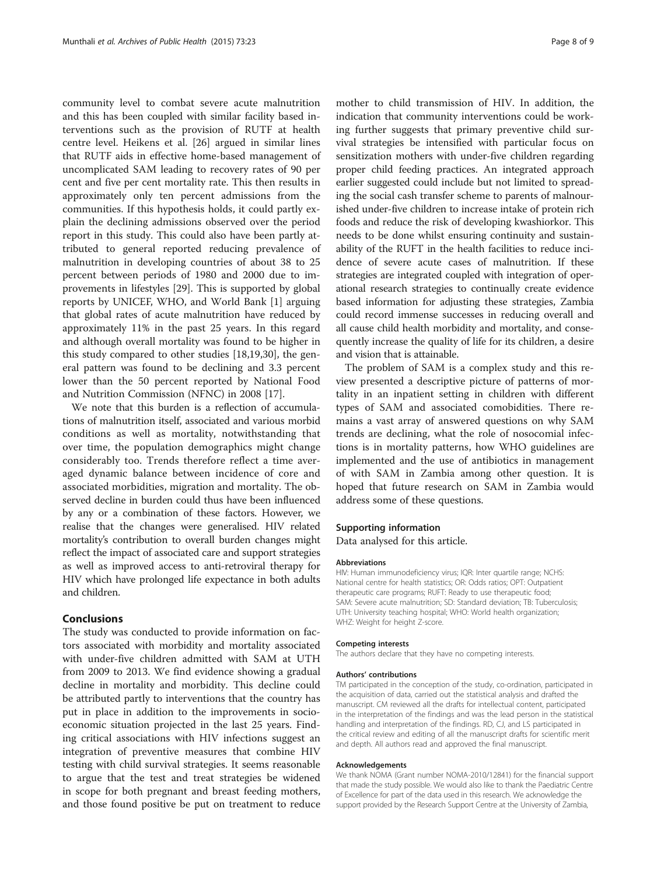community level to combat severe acute malnutrition and this has been coupled with similar facility based interventions such as the provision of RUTF at health centre level. Heikens et al. [[26\]](#page-8-0) argued in similar lines that RUTF aids in effective home-based management of uncomplicated SAM leading to recovery rates of 90 per cent and five per cent mortality rate. This then results in approximately only ten percent admissions from the communities. If this hypothesis holds, it could partly explain the declining admissions observed over the period report in this study. This could also have been partly attributed to general reported reducing prevalence of malnutrition in developing countries of about 38 to 25 percent between periods of 1980 and 2000 due to improvements in lifestyles [[29\]](#page-8-0). This is supported by global reports by UNICEF, WHO, and World Bank [\[1](#page-8-0)] arguing that global rates of acute malnutrition have reduced by approximately 11% in the past 25 years. In this regard and although overall mortality was found to be higher in this study compared to other studies [\[18,19,30\]](#page-8-0), the general pattern was found to be declining and 3.3 percent lower than the 50 percent reported by National Food and Nutrition Commission (NFNC) in 2008 [\[17\]](#page-8-0).

We note that this burden is a reflection of accumulations of malnutrition itself, associated and various morbid conditions as well as mortality, notwithstanding that over time, the population demographics might change considerably too. Trends therefore reflect a time averaged dynamic balance between incidence of core and associated morbidities, migration and mortality. The observed decline in burden could thus have been influenced by any or a combination of these factors. However, we realise that the changes were generalised. HIV related mortality's contribution to overall burden changes might reflect the impact of associated care and support strategies as well as improved access to anti-retroviral therapy for HIV which have prolonged life expectance in both adults and children.

## Conclusions

The study was conducted to provide information on factors associated with morbidity and mortality associated with under-five children admitted with SAM at UTH from 2009 to 2013. We find evidence showing a gradual decline in mortality and morbidity. This decline could be attributed partly to interventions that the country has put in place in addition to the improvements in socioeconomic situation projected in the last 25 years. Finding critical associations with HIV infections suggest an integration of preventive measures that combine HIV testing with child survival strategies. It seems reasonable to argue that the test and treat strategies be widened in scope for both pregnant and breast feeding mothers, and those found positive be put on treatment to reduce

mother to child transmission of HIV. In addition, the indication that community interventions could be working further suggests that primary preventive child survival strategies be intensified with particular focus on sensitization mothers with under-five children regarding proper child feeding practices. An integrated approach earlier suggested could include but not limited to spreading the social cash transfer scheme to parents of malnourished under-five children to increase intake of protein rich foods and reduce the risk of developing kwashiorkor. This needs to be done whilst ensuring continuity and sustainability of the RUFT in the health facilities to reduce incidence of severe acute cases of malnutrition. If these strategies are integrated coupled with integration of operational research strategies to continually create evidence based information for adjusting these strategies, Zambia could record immense successes in reducing overall and all cause child health morbidity and mortality, and consequently increase the quality of life for its children, a desire and vision that is attainable.

The problem of SAM is a complex study and this review presented a descriptive picture of patterns of mortality in an inpatient setting in children with different types of SAM and associated comobidities. There remains a vast array of answered questions on why SAM trends are declining, what the role of nosocomial infections is in mortality patterns, how WHO guidelines are implemented and the use of antibiotics in management of with SAM in Zambia among other question. It is hoped that future research on SAM in Zambia would address some of these questions.

## Supporting information

Data analysed for this article.

## Abbreviations

HIV: Human immunodeficiency virus; IQR: Inter quartile range; NCHS: National centre for health statistics; OR: Odds ratios; OPT: Outpatient therapeutic care programs; RUFT: Ready to use therapeutic food; SAM: Severe acute malnutrition; SD: Standard deviation; TB: Tuberculosis; UTH: University teaching hospital; WHO: World health organization; WHZ: Weight for height Z-score.

#### Competing interests

The authors declare that they have no competing interests.

#### Authors' contributions

TM participated in the conception of the study, co-ordination, participated in the acquisition of data, carried out the statistical analysis and drafted the manuscript. CM reviewed all the drafts for intellectual content, participated in the interpretation of the findings and was the lead person in the statistical handling and interpretation of the findings. RD, CJ, and LS participated in the critical review and editing of all the manuscript drafts for scientific merit and depth. All authors read and approved the final manuscript.

#### Acknowledgements

We thank NOMA (Grant number NOMA-2010/12841) for the financial support that made the study possible. We would also like to thank the Paediatric Centre of Excellence for part of the data used in this research. We acknowledge the support provided by the Research Support Centre at the University of Zambia,